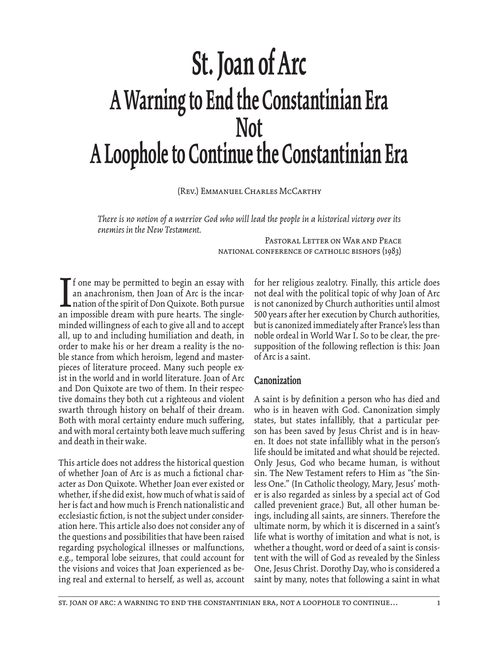# **St. Joan of Arc A Warning to End the Constantinian Era Not A Loophole to Continue the Constantinian Era**

(Rev.) Emmanuel Charles McCarthy

*There is no notion of a warrior God who will lead the people in a historical victory over its enemies in the New Testament.*

> PASTORAL LETTER ON WAR AND PEACE National Conference of Catholic Bishops (1983)

I f one may be permitted to begin an essay with an anachronism, then Joan of Arc is the incarnation of the spirit of Don Quixote. Both pursue an impossible dream with pure hearts. The singleminded willingness of each to give all and to accept all, up to and including humiliation and death, in order to make his or her dream a reality is the noble stance from which heroism, legend and masterpieces of literature proceed. Many such people exist in the world and in world literature. Joan of Arc and Don Quixote are two of them. In their respective domains they both cut a righteous and violent swarth through history on behalf of their dream. Both with moral certainty endure much suffering, and with moral certainty both leave much suffering and death in their wake.

This article does not address the historical question of whether Joan of Arc is as much a fictional character as Don Quixote. Whether Joan ever existed or whether, if she did exist, how much of what is said of her is fact and how much is French nationalistic and ecclesiastic fiction, is not the subject under consideration here. This article also does not consider any of the questions and possibilities that have been raised regarding psychological illnesses or malfunctions, e.g., temporal lobe seizures, that could account for the visions and voices that Joan experienced as being real and external to herself, as well as, account

for her religious zealotry. Finally, this article does not deal with the political topic of why Joan of Arc is not canonized by Church authorities until almost 500 years after her execution by Church authorities, but is canonized immediately after France's less than noble ordeal in World War I. So to be clear, the presupposition of the following reflection is this: Joan of Arc is a saint.

#### **Canonization**

A saint is by definition a person who has died and who is in heaven with God. Canonization simply states, but states infallibly, that a particular person has been saved by Jesus Christ and is in heaven. It does not state infallibly what in the person's life should be imitated and what should be rejected. Only Jesus, God who became human, is without sin. The New Testament refers to Him as "the Sinless One." (In Catholic theology, Mary, Jesus' mother is also regarded as sinless by a special act of God called prevenient grace.) But, all other human beings, including all saints, are sinners. Therefore the ultimate norm, by which it is discerned in a saint's life what is worthy of imitation and what is not, is whether a thought, word or deed of a saint is consistent with the will of God as revealed by the Sinless One, Jesus Christ. Dorothy Day, who is considered a saint by many, notes that following a saint in what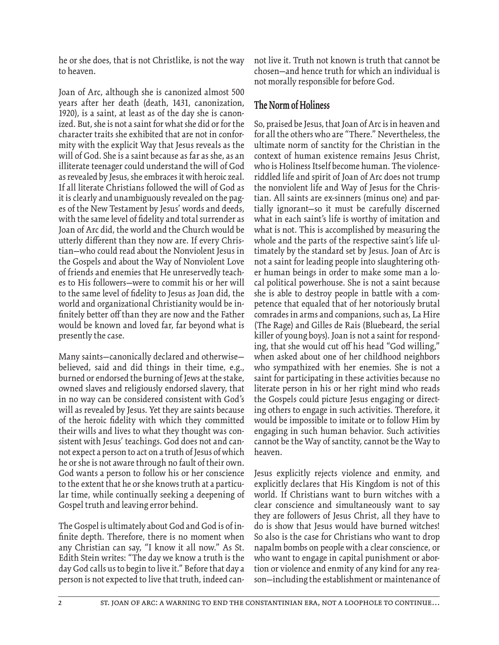he or she does, that is not Christlike, is not the way to heaven.

Joan of Arc, although she is canonized almost 500 years after her death (death, 1431, canonization, 1920), is a saint, at least as of the day she is canonized. But, she is not a saint for what she did or for the character traits she exhibited that are not in conformity with the explicit Way that Jesus reveals as the will of God. She is a saint because as far as she, as an illiterate teenager could understand the will of God as revealed by Jesus, she embraces it with heroic zeal. If all literate Christians followed the will of God as it is clearly and unambiguously revealed on the pages of the New Testament by Jesus' words and deeds, with the same level of fidelity and total surrender as Joan of Arc did, the world and the Church would be utterly different than they now are. If every Christian—who could read about the Nonviolent Jesus in the Gospels and about the Way of Nonviolent Love of friends and enemies that He unreservedly teaches to His followers—were to commit his or her will to the same level of fidelity to Jesus as Joan did, the world and organizational Christianity would be infinitely better off than they are now and the Father would be known and loved far, far beyond what is presently the case.

Many saints—canonically declared and otherwise believed, said and did things in their time, e.g., burned or endorsed the burning of Jews at the stake, owned slaves and religiously endorsed slavery, that in no way can be considered consistent with God's will as revealed by Jesus. Yet they are saints because of the heroic fidelity with which they committed their wills and lives to what they thought was consistent with Jesus' teachings. God does not and cannot expect a person to act on a truth of Jesus of which he or she is not aware through no fault of their own. God wants a person to follow his or her conscience to the extent that he or she knows truth at a particular time, while continually seeking a deepening of Gospel truth and leaving error behind.

The Gospel is ultimately about God and God is of infinite depth. Therefore, there is no moment when any Christian can say, "I know it all now." As St. Edith Stein writes: "The day we know a truth is the day God calls us to begin to live it." Before that day a person is not expected to live that truth, indeed cannot live it. Truth not known is truth that cannot be chosen—and hence truth for which an individual is not morally responsible for before God.

#### **The Norm of Holiness**

So, praised be Jesus, that Joan of Arc is in heaven and for all the others who are "There." Nevertheless, the ultimate norm of sanctity for the Christian in the context of human existence remains Jesus Christ, who is Holiness Itself become human. The violenceriddled life and spirit of Joan of Arc does not trump the nonviolent life and Way of Jesus for the Christian. All saints are ex-sinners (minus one) and partially ignorant—so it must be carefully discerned what in each saint's life is worthy of imitation and what is not. This is accomplished by measuring the whole and the parts of the respective saint's life ultimately by the standard set by Jesus. Joan of Arc is not a saint for leading people into slaughtering other human beings in order to make some man a local political powerhouse. She is not a saint because she is able to destroy people in battle with a competence that equaled that of her notoriously brutal comrades in arms and companions, such as, La Hire (The Rage) and Gilles de Rais (Bluebeard, the serial killer of young boys). Joan is not a saint for responding, that she would cut off his head "God willing," when asked about one of her childhood neighbors who sympathized with her enemies. She is not a saint for participating in these activities because no literate person in his or her right mind who reads the Gospels could picture Jesus engaging or directing others to engage in such activities. Therefore, it would be impossible to imitate or to follow Him by engaging in such human behavior. Such activities cannot be the Way of sanctity, cannot be the Way to heaven.

Jesus explicitly rejects violence and enmity, and explicitly declares that His Kingdom is not of this world. If Christians want to burn witches with a clear conscience and simultaneously want to say they are followers of Jesus Christ, all they have to do is show that Jesus would have burned witches! So also is the case for Christians who want to drop napalm bombs on people with a clear conscience, or who want to engage in capital punishment or abortion or violence and enmity of any kind for any reason—including the establishment or maintenance of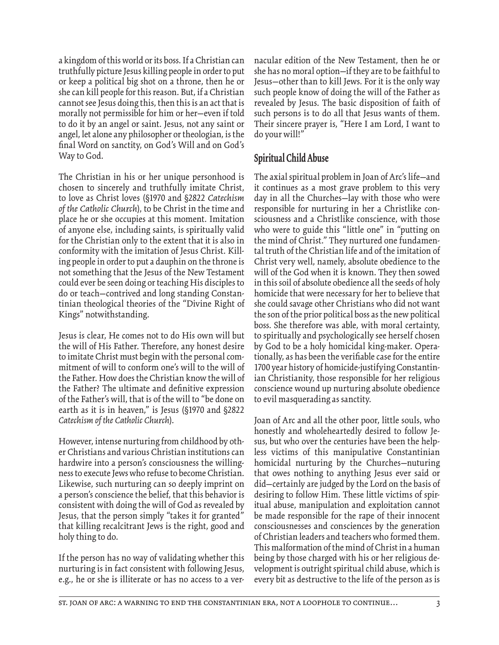a kingdom of this world or its boss. If a Christian can truthfully picture Jesus killing people in order to put or keep a political big shot on a throne, then he or she can kill people for this reason. But, if a Christian cannot see Jesus doing this, then this is an act that is morally not permissible for him or her—even if told to do it by an angel or saint. Jesus, not any saint or angel, let alone any philosopher or theologian, is the final Word on sanctity, on God's Will and on God's Way to God.

The Christian in his or her unique personhood is chosen to sincerely and truthfully imitate Christ, to love as Christ loves (§1970 and §2822 *Catechism of the Catholic Church*), to be Christ in the time and place he or she occupies at this moment. Imitation of anyone else, including saints, is spiritually valid for the Christian only to the extent that it is also in conformity with the imitation of Jesus Christ. Killing people in order to put a dauphin on the throne is not something that the Jesus of the New Testament could ever be seen doing or teaching His disciples to do or teach—contrived and long standing Constantinian theological theories of the "Divine Right of Kings" notwithstanding.

Jesus is clear, He comes not to do His own will but the will of His Father. Therefore, any honest desire to imitate Christ must begin with the personal commitment of will to conform one's will to the will of the Father. How does the Christian know the will of the Father? The ultimate and definitive expression of the Father's will, that is of the will to "be done on earth as it is in heaven," is Jesus (§1970 and §2822 *Catechism of the Catholic Church*).

However, intense nurturing from childhood by other Christians and various Christian institutions can hardwire into a person's consciousness the willingness to execute Jews who refuse to become Christian. Likewise, such nurturing can so deeply imprint on a person's conscience the belief, that this behavior is consistent with doing the will of God as revealed by Jesus, that the person simply "takes it for granted" that killing recalcitrant Jews is the right, good and holy thing to do.

If the person has no way of validating whether this nurturing is in fact consistent with following Jesus, e.g., he or she is illiterate or has no access to a vernacular edition of the New Testament, then he or she has no moral option—if they are to be faithful to Jesus—other than to kill Jews. For it is the only way such people know of doing the will of the Father as revealed by Jesus. The basic disposition of faith of such persons is to do all that Jesus wants of them. Their sincere prayer is, "Here I am Lord, I want to do your will!"

# **Spiritual Child Abuse**

The axial spiritual problem in Joan of Arc's life—and it continues as a most grave problem to this very day in all the Churches—lay with those who were responsible for nurturing in her a Christlike consciousness and a Christlike conscience, with those who were to guide this "little one" in "putting on the mind of Christ." They nurtured one fundamental truth of the Christian life and of the imitation of Christ very well, namely, absolute obedience to the will of the God when it is known. They then sowed in this soil of absolute obedience all the seeds of holy homicide that were necessary for her to believe that she could savage other Christians who did not want the son of the prior political boss as the new political boss. She therefore was able, with moral certainty, to spiritually and psychologically see herself chosen by God to be a holy homicidal king-maker. Operationally, as has been the verifiable case for the entire 1700 year history of homicide-justifying Constantinian Christianity, those responsible for her religious conscience wound up nurturing absolute obedience to evil masquerading as sanctity.

Joan of Arc and all the other poor, little souls, who honestly and wholeheartedly desired to follow Jesus, but who over the centuries have been the helpless victims of this manipulative Constantinian homicidal nurturing by the Churches—nuturing that owes nothing to anything Jesus ever said or did—certainly are judged by the Lord on the basis of desiring to follow Him. These little victims of spiritual abuse, manipulation and exploitation cannot be made responsible for the rape of their innocent consciousnesses and consciences by the generation of Christian leaders and teachers who formed them. This malformation of the mind of Christ in a human being by those charged with his or her religious development is outright spiritual child abuse, which is every bit as destructive to the life of the person as is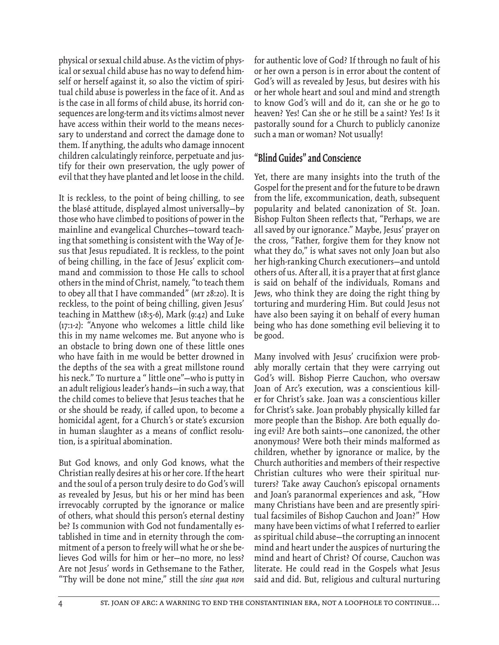physical or sexual child abuse. As the victim of physical or sexual child abuse has no way to defend himself or herself against it, so also the victim of spiritual child abuse is powerless in the face of it. And as is the case in all forms of child abuse, its horrid consequences are long-term and its victims almost never have access within their world to the means necessary to understand and correct the damage done to them. If anything, the adults who damage innocent children calculatingly reinforce, perpetuate and justify for their own preservation, the ugly power of evil that they have planted and let loose in the child.

It is reckless, to the point of being chilling, to see the blasé attitude, displayed almost universally—by those who have climbed to positions of power in the mainline and evangelical Churches—toward teaching that something is consistent with the Way of Jesus that Jesus repudiated. It is reckless, to the point of being chilling, in the face of Jesus' explicit command and commission to those He calls to school others in the mind of Christ, namely, "to teach them to obey all that I have commanded" (MT 28:20). It is reckless, to the point of being chilling, given Jesus' teaching in Matthew (18:5-6), Mark (9:42) and Luke (17:1-2): "Anyone who welcomes a little child like this in my name welcomes me. But anyone who is an obstacle to bring down one of these little ones who have faith in me would be better drowned in the depths of the sea with a great millstone round his neck." To nurture a " little one"-who is putty in an adult religious leader's hands—in such a way, that the child comes to believe that Jesus teaches that he or she should be ready, if called upon, to become a homicidal agent, for a Church's or state's excursion in human slaughter as a means of conflict resolution, is a spiritual abomination.

But God knows, and only God knows, what the Christian really desires at his or her core. If the heart and the soul of a person truly desire to do God's will as revealed by Jesus, but his or her mind has been irrevocably corrupted by the ignorance or malice of others, what should this person's eternal destiny be? Is communion with God not fundamentally established in time and in eternity through the commitment of a person to freely will what he or she believes God wills for him or her—no more, no less? Are not Jesus' words in Gethsemane to the Father, "Thy will be done not mine," still the *sine qua non* 

for authentic love of God? If through no fault of his or her own a person is in error about the content of God's will as revealed by Jesus, but desires with his or her whole heart and soul and mind and strength to know God's will and do it, can she or he go to heaven? Yes! Can she or he still be a saint? Yes! Is it pastorally sound for a Church to publicly canonize such a man or woman? Not usually!

### **"Blind Guides" and Conscience**

Yet, there are many insights into the truth of the Gospel for the present and for the future to be drawn from the life, excommunication, death, subsequent popularity and belated canonization of St. Joan. Bishop Fulton Sheen reflects that, "Perhaps, we are all saved by our ignorance." Maybe, Jesus' prayer on the cross, "Father, forgive them for they know not what they do," is what saves not only Joan but also her high-ranking Church executioners—and untold others of us. After all, it is a prayer that at first glance is said on behalf of the individuals, Romans and Jews, who think they are doing the right thing by torturing and murdering Him. But could Jesus not have also been saying it on behalf of every human being who has done something evil believing it to be good.

Many involved with Jesus' crucifixion were probably morally certain that they were carrying out God's will. Bishop Pierre Cauchon, who oversaw Joan of Arc's execution, was a conscientious killer for Christ's sake. Joan was a conscientious killer for Christ's sake. Joan probably physically killed far more people than the Bishop. Are both equally doing evil? Are both saints—one canonized, the other anonymous? Were both their minds malformed as children, whether by ignorance or malice, by the Church authorities and members of their respective Christian cultures who were their spiritual nurturers? Take away Cauchon's episcopal ornaments and Joan's paranormal experiences and ask, "How many Christians have been and are presently spiritual facsimiles of Bishop Cauchon and Joan?" How many have been victims of what I referred to earlier as spiritual child abuse—the corrupting an innocent mind and heart under the auspices of nurturing the mind and heart of Christ? Of course, Cauchon was literate. He could read in the Gospels what Jesus said and did. But, religious and cultural nurturing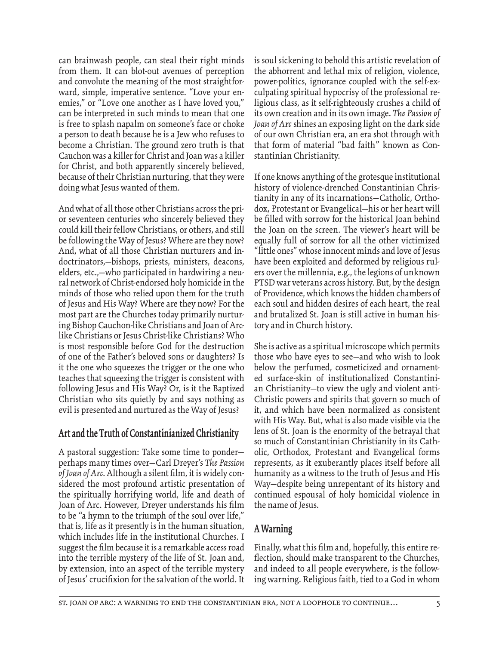can brainwash people, can steal their right minds from them. It can blot-out avenues of perception and convolute the meaning of the most straightforward, simple, imperative sentence. "Love your enemies," or "Love one another as I have loved you," can be interpreted in such minds to mean that one is free to splash napalm on someone's face or choke a person to death because he is a Jew who refuses to become a Christian. The ground zero truth is that Cauchon was a killer for Christ and Joan was a killer for Christ, and both apparently sincerely believed, because of their Christian nurturing, that they were doing what Jesus wanted of them.

And what of all those other Christians across the prior seventeen centuries who sincerely believed they could kill their fellow Christians, or others, and still be following the Way of Jesus? Where are they now? And, what of all those Christian nurturers and indoctrinators,—bishops, priests, ministers, deacons, elders, etc.,—who participated in hardwiring a neural network of Christ-endorsed holy homicide in the minds of those who relied upon them for the truth of Jesus and His Way? Where are they now? For the most part are the Churches today primarily nurturing Bishop Cauchon-like Christians and Joan of Arclike Christians or Jesus Christ-like Christians? Who is most responsible before God for the destruction of one of the Father's beloved sons or daughters? Is it the one who squeezes the trigger or the one who teaches that squeezing the trigger is consistent with following Jesus and His Way? Or, is it the Baptized Christian who sits quietly by and says nothing as evil is presented and nurtured as the Way of Jesus?

#### **Art and the Truth of Constantinianized Christianity**

A pastoral suggestion: Take some time to ponder perhaps many times over—Carl Dreyer's *The Passion*  of Joan of Arc. Although a silent film, it is widely considered the most profound artistic presentation of the spiritually horrifying world, life and death of Joan of Arc. However, Dreyer understands his film to be "a hymn to the triumph of the soul over life," that is, life as it presently is in the human situation, which includes life in the institutional Churches. I suggest the film because it is a remarkable access road into the terrible mystery of the life of St. Joan and, by extension, into an aspect of the terrible mystery of Jesus' crucifixion for the salvation of the world. It

is soul sickening to behold this artistic revelation of the abhorrent and lethal mix of religion, violence, power-politics, ignorance coupled with the self-exculpating spiritual hypocrisy of the professional religious class, as it self-righteously crushes a child of its own creation and in its own image. *The Passion of Joan of Arc* shines an exposing light on the dark side of our own Christian era, an era shot through with that form of material "bad faith" known as Constantinian Christianity.

If one knows anything of the grotesque institutional history of violence-drenched Constantinian Christianity in any of its incarnations—Catholic, Orthodox, Protestant or Evangelical—his or her heart will be filled with sorrow for the historical Joan behind the Joan on the screen. The viewer's heart will be equally full of sorrow for all the other victimized "little ones" whose innocent minds and love of Jesus have been exploited and deformed by religious rulers over the millennia, e.g., the legions of unknown PTSD war veterans across history. But, by the design of Providence, which knows the hidden chambers of each soul and hidden desires of each heart, the real and brutalized St. Joan is still active in human history and in Church history.

She is active as a spiritual microscope which permits those who have eyes to see—and who wish to look below the perfumed, cosmeticized and ornamented surface-skin of institutionalized Constantinian Christianity—to view the ugly and violent anti-Christic powers and spirits that govern so much of it, and which have been normalized as consistent with His Way. But, what is also made visible via the lens of St. Joan is the enormity of the betrayal that so much of Constantinian Christianity in its Catholic, Orthodox, Protestant and Evangelical forms represents, as it exuberantly places itself before all humanity as a witness to the truth of Jesus and His Way—despite being unrepentant of its history and continued espousal of holy homicidal violence in the name of Jesus.

# **A Warning**

Finally, what this film and, hopefully, this entire reflection, should make transparent to the Churches, and indeed to all people everywhere, is the following warning. Religious faith, tied to a God in whom